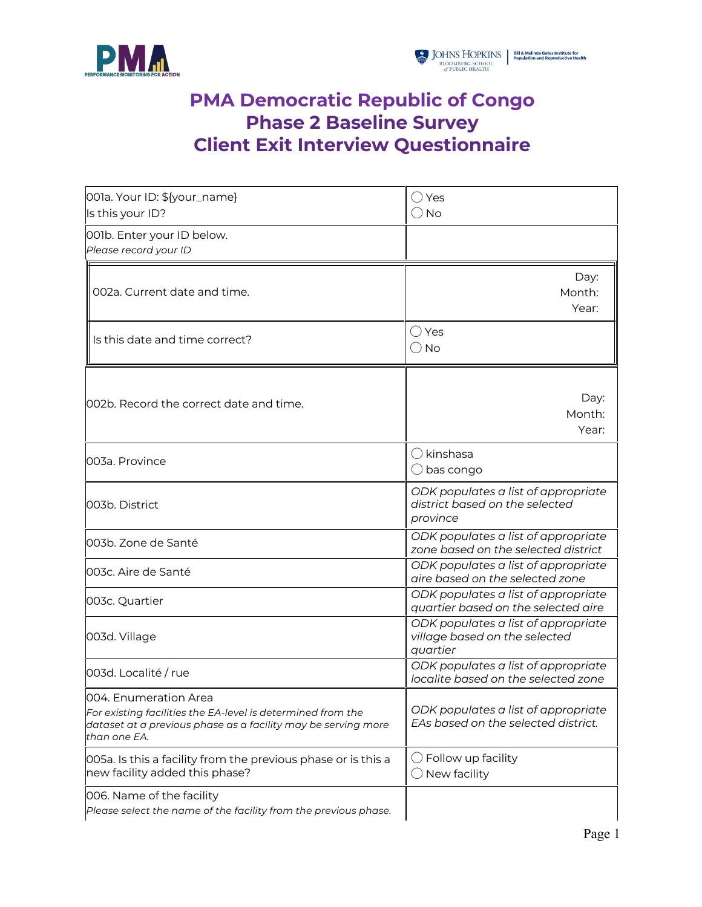



## **PMA Democratic Republic of Congo Phase 2 Baseline Survey Client Exit Interview Questionnaire**

| 001a. Your ID: \${your_name}<br>Is this your ID?                                                                                                                      | ◯ Yes<br>$\bigcirc$ No                                                            |
|-----------------------------------------------------------------------------------------------------------------------------------------------------------------------|-----------------------------------------------------------------------------------|
| 001b. Enter your ID below.<br>Please record your ID                                                                                                                   |                                                                                   |
| 002a. Current date and time.                                                                                                                                          | Day:<br>Month:<br>Year:                                                           |
| Is this date and time correct?                                                                                                                                        | $\bigcirc$ Yes<br>$\bigcirc$ No                                                   |
| 002b. Record the correct date and time.                                                                                                                               | Day:<br>Month:<br>Year:                                                           |
| 003a. Province                                                                                                                                                        | $\bigcirc$ kinshasa<br>$\bigcirc$ bas congo                                       |
| 003b. District                                                                                                                                                        | ODK populates a list of appropriate<br>district based on the selected<br>province |
| 003b. Zone de Santé                                                                                                                                                   | ODK populates a list of appropriate<br>zone based on the selected district        |
| 003c. Aire de Santé                                                                                                                                                   | ODK populates a list of appropriate<br>aire based on the selected zone            |
| 003c. Quartier                                                                                                                                                        | ODK populates a list of appropriate<br>quartier based on the selected aire        |
| 003d. Village                                                                                                                                                         | ODK populates a list of appropriate<br>village based on the selected<br>quartier  |
| 003d. Localité / rue                                                                                                                                                  | ODK populates a list of appropriate<br>localite based on the selected zone        |
| 004. Enumeration Area<br>For existing facilities the EA-level is determined from the<br>dataset at a previous phase as a facility may be serving more<br>than one EA. | ODK populates a list of appropriate<br>EAs based on the selected district.        |
| 005a. Is this a facility from the previous phase or is this a<br>new facility added this phase?                                                                       | $\bigcirc$ Follow up facility<br>$\bigcirc$ New facility                          |
| 006. Name of the facility<br>Please select the name of the facility from the previous phase.                                                                          |                                                                                   |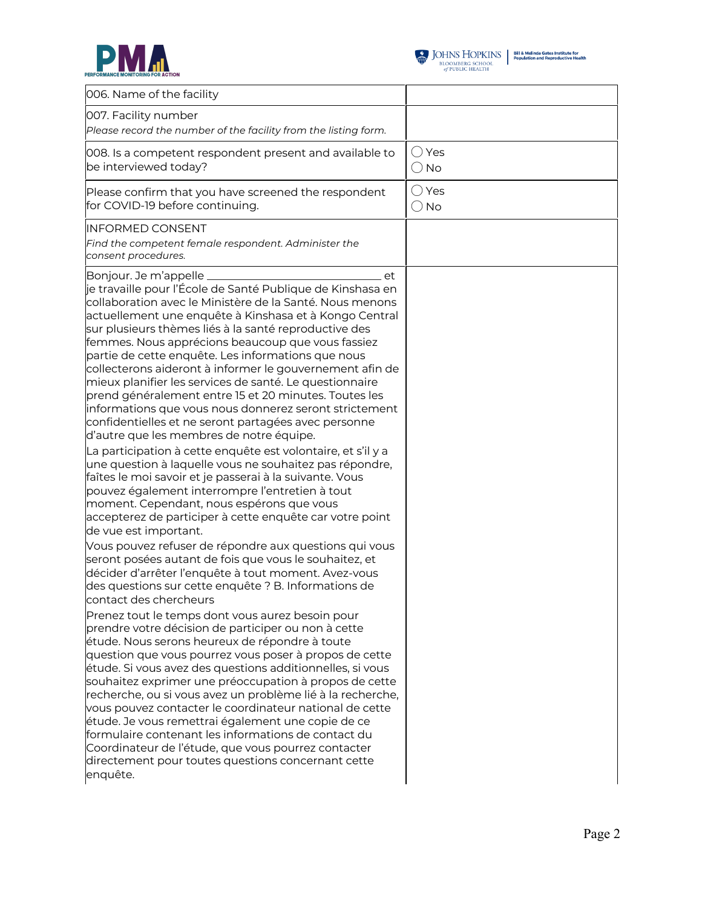



| 006. Name of the facility                                                                                                                                                                                                                                                                                                                                                                                                                                                                                                                                                                                                                                                                                                                                                                                                                                                                                                                                                                                                                                                                                                                                                |                                 |
|--------------------------------------------------------------------------------------------------------------------------------------------------------------------------------------------------------------------------------------------------------------------------------------------------------------------------------------------------------------------------------------------------------------------------------------------------------------------------------------------------------------------------------------------------------------------------------------------------------------------------------------------------------------------------------------------------------------------------------------------------------------------------------------------------------------------------------------------------------------------------------------------------------------------------------------------------------------------------------------------------------------------------------------------------------------------------------------------------------------------------------------------------------------------------|---------------------------------|
|                                                                                                                                                                                                                                                                                                                                                                                                                                                                                                                                                                                                                                                                                                                                                                                                                                                                                                                                                                                                                                                                                                                                                                          |                                 |
| 007. Facility number<br>Please record the number of the facility from the listing form.                                                                                                                                                                                                                                                                                                                                                                                                                                                                                                                                                                                                                                                                                                                                                                                                                                                                                                                                                                                                                                                                                  |                                 |
| 008. Is a competent respondent present and available to<br>be interviewed today?                                                                                                                                                                                                                                                                                                                                                                                                                                                                                                                                                                                                                                                                                                                                                                                                                                                                                                                                                                                                                                                                                         | $\bigcirc$ Yes<br>$\bigcirc$ No |
| Please confirm that you have screened the respondent<br>for COVID-19 before continuing.                                                                                                                                                                                                                                                                                                                                                                                                                                                                                                                                                                                                                                                                                                                                                                                                                                                                                                                                                                                                                                                                                  | $\bigcirc$ Yes<br>$\bigcirc$ No |
| <b>INFORMED CONSENT</b><br>Find the competent female respondent. Administer the<br>consent procedures.                                                                                                                                                                                                                                                                                                                                                                                                                                                                                                                                                                                                                                                                                                                                                                                                                                                                                                                                                                                                                                                                   |                                 |
| Bonjour. Je m'appelle _<br>et<br>je travaille pour l'École de Santé Publique de Kinshasa en<br>collaboration avec le Ministère de la Santé. Nous menons<br>actuellement une enquête à Kinshasa et à Kongo Central<br>sur plusieurs thèmes liés à la santé reproductive des<br>femmes. Nous apprécions beaucoup que vous fassiez<br>partie de cette enquête. Les informations que nous<br>collecterons aideront à informer le gouvernement afin de<br>mieux planifier les services de santé. Le questionnaire<br>prend généralement entre 15 et 20 minutes. Toutes les<br>informations que vous nous donnerez seront strictement<br>confidentielles et ne seront partagées avec personne<br>d'autre que les membres de notre équipe.<br>La participation à cette enquête est volontaire, et s'il y a<br>une question à laquelle vous ne souhaitez pas répondre,<br>faîtes le moi savoir et je passerai à la suivante. Vous<br>pouvez également interrompre l'entretien à tout<br>moment. Cependant, nous espérons que vous<br>accepterez de participer à cette enquête car votre point<br>de vue est important.<br>Vous pouvez refuser de répondre aux questions qui vous |                                 |
| seront posées autant de fois que vous le souhaitez, et<br>décider d'arrêter l'enquête à tout moment. Avez-vous<br>des questions sur cette enquête ? B. Informations de<br>contact des chercheurs                                                                                                                                                                                                                                                                                                                                                                                                                                                                                                                                                                                                                                                                                                                                                                                                                                                                                                                                                                         |                                 |
| Prenez tout le temps dont vous aurez besoin pour<br>prendre votre décision de participer ou non à cette<br>étude. Nous serons heureux de répondre à toute<br>question que vous pourrez vous poser à propos de cette<br>étude. Si vous avez des questions additionnelles, si vous<br>souhaitez exprimer une préoccupation à propos de cette<br>recherche, ou si vous avez un problème lié à la recherche,<br>vous pouvez contacter le coordinateur national de cette<br>étude. Je vous remettrai également une copie de ce<br>formulaire contenant les informations de contact du<br>Coordinateur de l'étude, que vous pourrez contacter<br>directement pour toutes questions concernant cette<br>enquête.                                                                                                                                                                                                                                                                                                                                                                                                                                                                |                                 |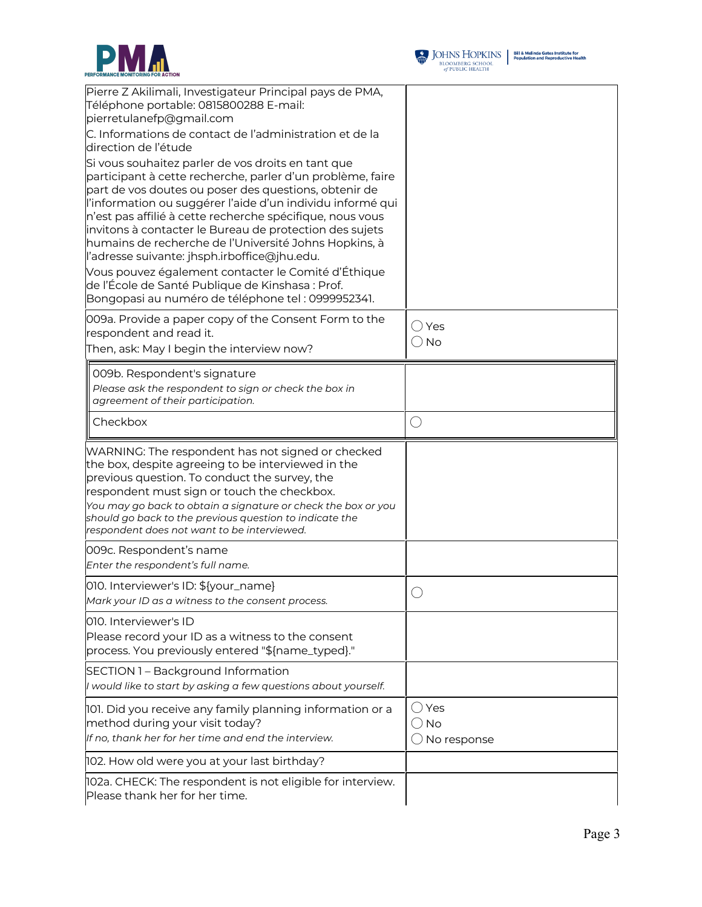



| Pierre Z Akilimali, Investigateur Principal pays de PMA,                                                                 |                        |
|--------------------------------------------------------------------------------------------------------------------------|------------------------|
| Téléphone portable: 0815800288 E-mail:                                                                                   |                        |
| pierretulanefp@gmail.com                                                                                                 |                        |
| C. Informations de contact de l'administration et de la<br>direction de l'étude                                          |                        |
| Si vous souhaitez parler de vos droits en tant que                                                                       |                        |
| participant à cette recherche, parler d'un problème, faire                                                               |                        |
| part de vos doutes ou poser des questions, obtenir de                                                                    |                        |
| l'information ou suggérer l'aide d'un individu informé qui                                                               |                        |
| n'est pas affilié à cette recherche spécifique, nous vous                                                                |                        |
| invitons à contacter le Bureau de protection des sujets                                                                  |                        |
| humains de recherche de l'Université Johns Hopkins, à                                                                    |                        |
| l'adresse suivante: jhsph.irboffice@jhu.edu.                                                                             |                        |
| Vous pouvez également contacter le Comité d'Éthique                                                                      |                        |
| de l'École de Santé Publique de Kinshasa : Prof.                                                                         |                        |
| Bongopasi au numéro de téléphone tel : 0999952341.                                                                       |                        |
| 009a. Provide a paper copy of the Consent Form to the                                                                    |                        |
| respondent and read it.                                                                                                  | $\bigcirc$ Yes         |
| Then, ask: May I begin the interview now?                                                                                | $\bigcirc$ No          |
| 009b. Respondent's signature                                                                                             |                        |
| Please ask the respondent to sign or check the box in                                                                    |                        |
| agreement of their participation.                                                                                        |                        |
|                                                                                                                          |                        |
| Checkbox                                                                                                                 | O                      |
| WARNING: The respondent has not signed or checked                                                                        |                        |
|                                                                                                                          |                        |
|                                                                                                                          |                        |
| the box, despite agreeing to be interviewed in the                                                                       |                        |
|                                                                                                                          |                        |
| previous question. To conduct the survey, the<br>respondent must sign or touch the checkbox.                             |                        |
| You may go back to obtain a signature or check the box or you<br>should go back to the previous question to indicate the |                        |
| respondent does not want to be interviewed.                                                                              |                        |
| 009c. Respondent's name                                                                                                  |                        |
| Enter the respondent's full name.                                                                                        |                        |
| 010. Interviewer's ID: \${your_name}                                                                                     |                        |
| Mark your ID as a witness to the consent process.                                                                        |                        |
| 010. Interviewer's ID                                                                                                    |                        |
|                                                                                                                          |                        |
| Please record your ID as a witness to the consent<br>process. You previously entered "\${name_typed}."                   |                        |
| SECTION 1 - Background Information                                                                                       |                        |
| I would like to start by asking a few questions about yourself.                                                          |                        |
|                                                                                                                          | $\bigcirc$ Yes         |
| 101. Did you receive any family planning information or a                                                                |                        |
| method during your visit today?                                                                                          | $\bigcirc$ No          |
| If no, thank her for her time and end the interview.                                                                     | $\bigcirc$ No response |
| 102. How old were you at your last birthday?<br>102a. CHECK: The respondent is not eligible for interview.               |                        |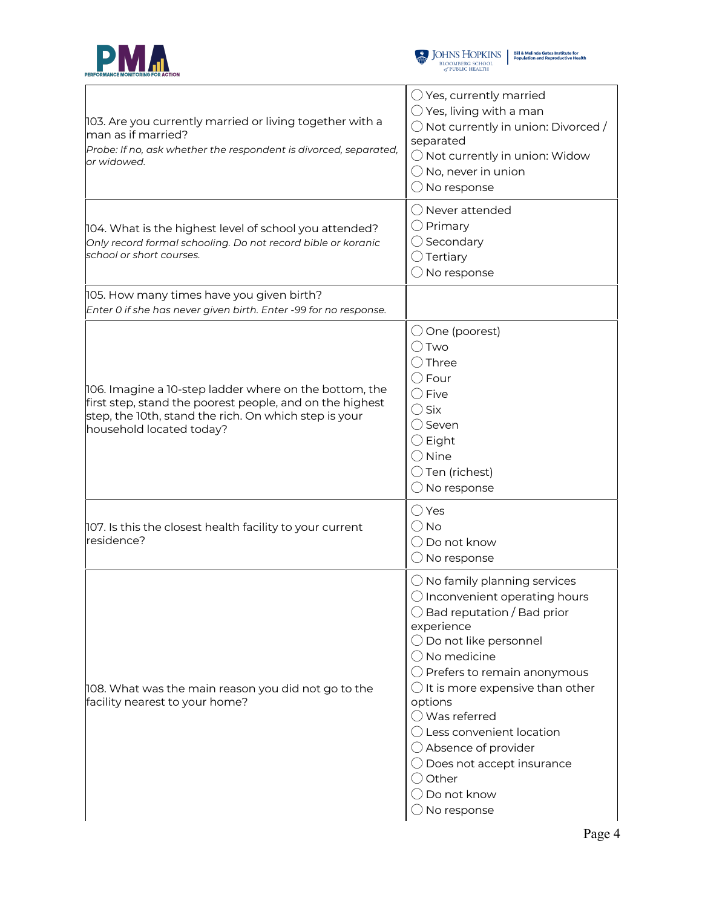



| 103. Are you currently married or living together with a<br>man as if married?<br>Probe: If no, ask whether the respondent is divorced, separated,<br>or widowed.                                       | $\bigcirc$ Yes, currently married<br>$\bigcirc$ Yes, living with a man<br>$\bigcirc$ Not currently in union: Divorced /<br>separated<br>$\bigcirc$ Not currently in union: Widow<br>$\bigcirc$ No, never in union<br>$\bigcirc$ No response                                                                                                                                                                                                                                                                                   |
|---------------------------------------------------------------------------------------------------------------------------------------------------------------------------------------------------------|-------------------------------------------------------------------------------------------------------------------------------------------------------------------------------------------------------------------------------------------------------------------------------------------------------------------------------------------------------------------------------------------------------------------------------------------------------------------------------------------------------------------------------|
| 104. What is the highest level of school you attended?<br>Only record formal schooling. Do not record bible or koranic<br>school or short courses.                                                      | O Never attended<br>$\bigcirc$ Primary<br>$\bigcirc$ Secondary<br>$\bigcirc$ Tertiary<br>$\bigcirc$ No response                                                                                                                                                                                                                                                                                                                                                                                                               |
| 105. How many times have you given birth?<br>Enter 0 if she has never given birth. Enter -99 for no response.                                                                                           |                                                                                                                                                                                                                                                                                                                                                                                                                                                                                                                               |
| 106. Imagine a 10-step ladder where on the bottom, the<br>first step, stand the poorest people, and on the highest<br>step, the 10th, stand the rich. On which step is your<br>household located today? | $\bigcirc$ One (poorest)<br>◯ Two<br>$\bigcirc$ Three<br>$\bigcirc$ Four<br>$\bigcirc$ Five<br>$\bigcirc$ Six<br>◯ Seven<br>$\bigcirc$ Eight<br>$\bigcirc$ Nine<br>$\bigcirc$ Ten (richest)<br>$\bigcirc$ No response                                                                                                                                                                                                                                                                                                         |
| 107. Is this the closest health facility to your current<br>residence?                                                                                                                                  | $\bigcirc$ Yes<br>$\bigcirc$ No<br>$\bigcirc$ Do not know<br>$\bigcirc$ No response                                                                                                                                                                                                                                                                                                                                                                                                                                           |
| 108. What was the main reason you did not go to the<br>facility nearest to your home?                                                                                                                   | $\bigcirc$ No family planning services<br>$\bigcirc$ Inconvenient operating hours<br>$\bigcirc$ Bad reputation / Bad prior<br>experience<br>$\bigcirc$ Do not like personnel<br>$\bigcirc$ No medicine<br>$\bigcirc$ Prefers to remain anonymous<br>$\bigcirc$ It is more expensive than other<br>options<br>$\bigcirc$ Was referred<br>$\bigcirc$ Less convenient location<br>$\bigcirc$ Absence of provider<br>$\bigcirc$ Does not accept insurance<br>$\bigcirc$ Other<br>$\bigcirc$ Do not know<br>$\bigcirc$ No response |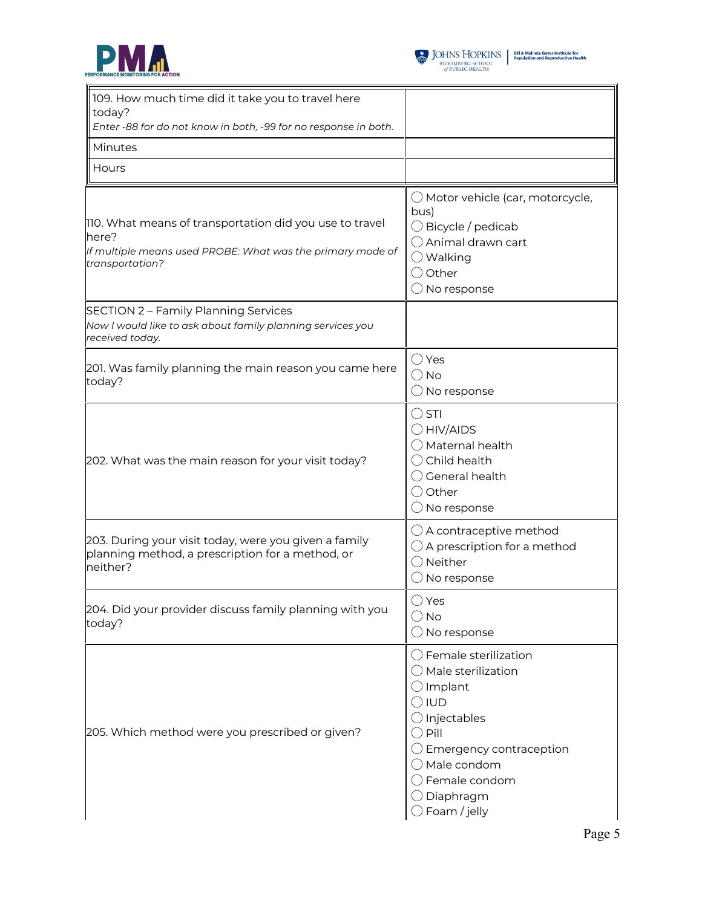



| 109. How much time did it take you to travel here<br>today?<br>Enter -88 for do not know in both, -99 for no response in both.                    |                                                                                                                                                                                                                                                                                          |
|---------------------------------------------------------------------------------------------------------------------------------------------------|------------------------------------------------------------------------------------------------------------------------------------------------------------------------------------------------------------------------------------------------------------------------------------------|
| Minutes                                                                                                                                           |                                                                                                                                                                                                                                                                                          |
| Hours                                                                                                                                             |                                                                                                                                                                                                                                                                                          |
| 110. What means of transportation did you use to travel<br>here?<br>If multiple means used PROBE: What was the primary mode of<br>transportation? | $\bigcirc$ Motor vehicle (car, motorcycle,<br>bus)<br>$\bigcirc$ Bicycle / pedicab<br>◯ Animal drawn cart<br>$\bigcirc$ Walking<br>$\bigcirc$ Other<br>$\bigcirc$ No response                                                                                                            |
| <b>SECTION 2 - Family Planning Services</b><br>Now I would like to ask about family planning services you<br>received today.                      |                                                                                                                                                                                                                                                                                          |
| 201. Was family planning the main reason you came here<br>today?                                                                                  | ◯ Yes<br>$\bigcirc$ No<br>$\bigcirc$ No response                                                                                                                                                                                                                                         |
| 202. What was the main reason for your visit today?                                                                                               | $\bigcirc$ STI<br>$\bigcirc$ HIV/AIDS<br>$\bigcirc$ Maternal health<br>$\bigcirc$ Child health<br>$\bigcirc$ General health<br>○ Other<br>$\bigcirc$ No response                                                                                                                         |
| 203. During your visit today, were you given a family<br>planning method, a prescription for a method, or<br>neither?                             | $\bigcirc$ A contraceptive method<br>$\bigcirc$ A prescription for a method<br>$\bigcirc$ Neither<br>$\bigcirc$ No response                                                                                                                                                              |
| 204. Did your provider discuss family planning with you<br>today?                                                                                 | ◯ Yes<br>() No<br>$\bigcirc$ No response                                                                                                                                                                                                                                                 |
| 205. Which method were you prescribed or given?                                                                                                   | $\bigcirc$ Female sterilization<br>$\bigcirc$ Male sterilization<br>$\bigcirc$ Implant<br>$\bigcirc$ iud<br>$\bigcirc$ Injectables<br>$\bigcirc$ Pill<br>$\bigcirc$ Emergency contraception<br>$\bigcirc$ Male condom<br>$\bigcirc$ Female condom<br>Diaphragm<br>$\supset$ Foam / jelly |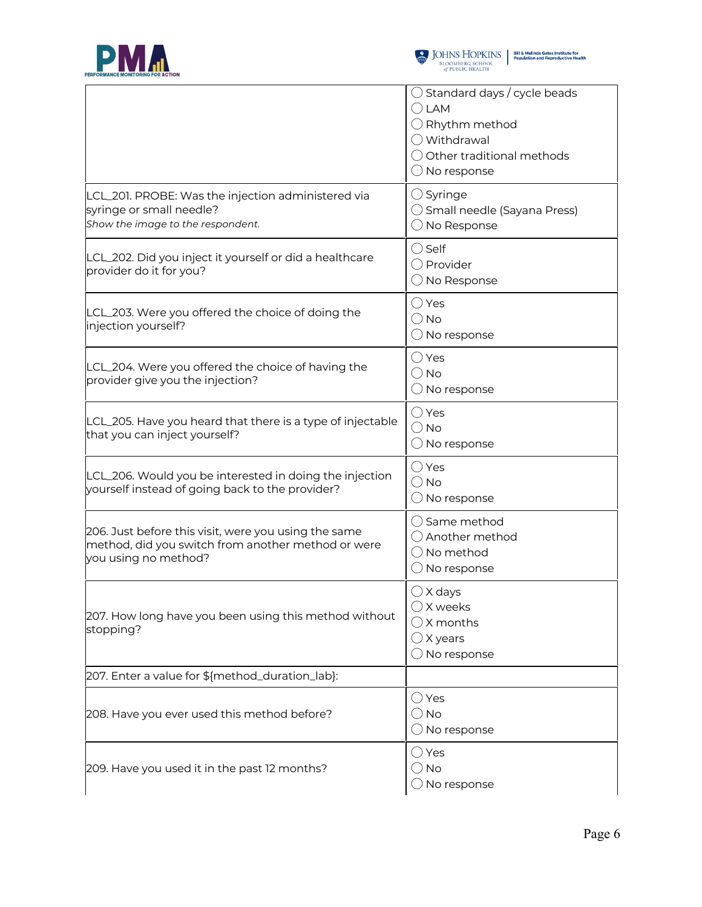



|                                                                                                                                    | $\bigcirc$ Standard days / cycle beads<br>$\bigcirc$ LAM<br>$\bigcirc$ Rhythm method<br>◯ Withdrawal<br>$\bigcirc$ Other traditional methods<br>$\bigcirc$ No response |  |  |
|------------------------------------------------------------------------------------------------------------------------------------|------------------------------------------------------------------------------------------------------------------------------------------------------------------------|--|--|
| LCL_201. PROBE: Was the injection administered via<br>syringe or small needle?<br>Show the image to the respondent.                | $\bigcirc$ Syringe<br>◯ Small needle (Sayana Press)<br>$\bigcirc$ No Response                                                                                          |  |  |
| LCL_202. Did you inject it yourself or did a healthcare<br>provider do it for you?                                                 | $\bigcirc$ Self<br>◯ Provider<br>$\bigcirc$ No Response                                                                                                                |  |  |
| LCL_203. Were you offered the choice of doing the<br>injection yourself?                                                           | $\bigcirc$ Yes<br>$\bigcirc$ No<br>$\bigcirc$ No response                                                                                                              |  |  |
| LCL_204. Were you offered the choice of having the<br>provider give you the injection?                                             | $\bigcirc$ Yes<br>$\bigcirc$ No<br>$\bigcirc$ No response                                                                                                              |  |  |
| LCL_205. Have you heard that there is a type of injectable<br>that you can inject yourself?                                        | $\bigcirc$ Yes<br>$\bigcirc$ No<br>$\bigcirc$ No response                                                                                                              |  |  |
| LCL_206. Would you be interested in doing the injection<br>yourself instead of going back to the provider?                         | $\bigcirc$ Yes<br>$\bigcirc$ No<br>$\bigcirc$ No response                                                                                                              |  |  |
| 206. Just before this visit, were you using the same<br>method, did you switch from another method or were<br>you using no method? | ◯ Same method<br>◯ Another method<br>$\bigcirc$ No method<br>$\bigcirc$ No response                                                                                    |  |  |
| 207. How long have you been using this method without<br>stopping?                                                                 | $\bigcirc$ X days<br>$\bigcirc$ X weeks<br>$\bigcirc$ X months<br>$\bigcirc$ X years<br>$\bigcirc$ No response                                                         |  |  |
| 207. Enter a value for \${method_duration_lab}:                                                                                    |                                                                                                                                                                        |  |  |
| 208. Have you ever used this method before?                                                                                        | $\bigcirc$ Yes<br>$\bigcirc$ No<br>$\bigcirc$ No response                                                                                                              |  |  |
| 209. Have you used it in the past 12 months?                                                                                       | $\bigcirc$ Yes<br>$\bigcirc$ No<br>$\bigcirc$ No response                                                                                                              |  |  |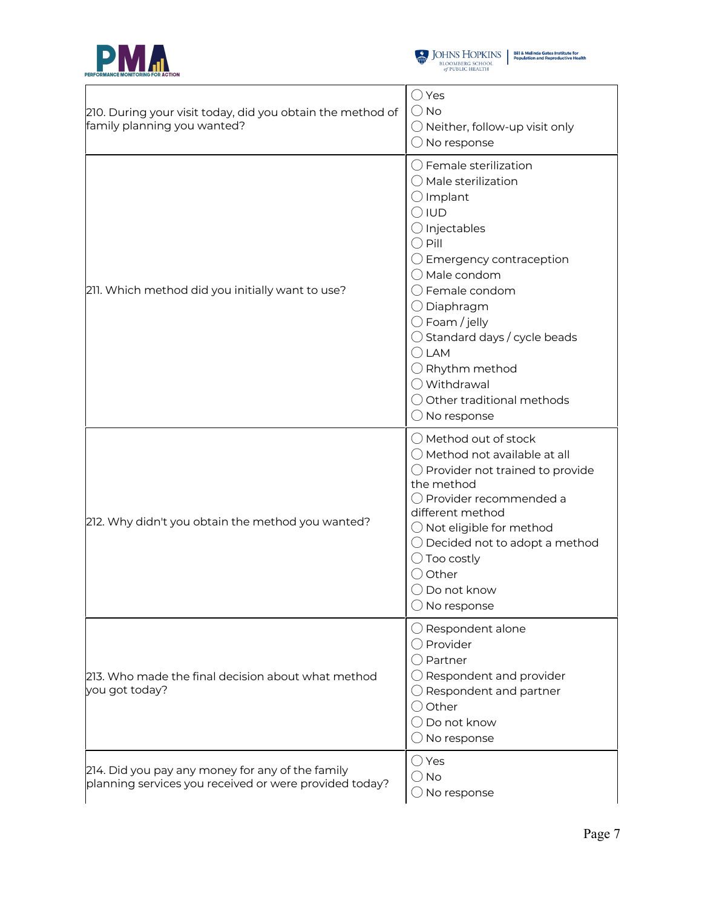



| 210. During your visit today, did you obtain the method of<br>family planning you wanted?                  | ○ Yes<br>$\bigcirc$ No<br>$\bigcirc$ Neither, follow-up visit only<br>$\bigcirc$ No response                                                                                                                                                                                                                                                                                                                                                                          |
|------------------------------------------------------------------------------------------------------------|-----------------------------------------------------------------------------------------------------------------------------------------------------------------------------------------------------------------------------------------------------------------------------------------------------------------------------------------------------------------------------------------------------------------------------------------------------------------------|
| 211. Which method did you initially want to use?                                                           | $\bigcirc$ Female sterilization<br>$\bigcirc$ Male sterilization<br>$\bigcirc$ Implant<br>$\bigcirc$ IUD<br>$\bigcirc$ Injectables<br>$\bigcirc$ Pill<br>$\bigcirc$ Emergency contraception<br>O Male condom<br>$\bigcirc$ Female condom<br>$\bigcirc$ Diaphragm<br>$\bigcirc$ Foam / jelly<br>$\bigcirc$ Standard days / cycle beads<br>$\bigcirc$ LAM<br>$\bigcirc$ Rhythm method<br>◯ Withdrawal<br>$\bigcirc$ Other traditional methods<br>$\bigcirc$ No response |
| 212. Why didn't you obtain the method you wanted?                                                          | $\bigcirc$ Method out of stock<br>$\bigcirc$ Method not available at all<br>$\bigcirc$ Provider not trained to provide<br>the method<br>$\bigcirc$ Provider recommended a<br>different method<br>$\bigcirc$ Not eligible for method<br>$\bigcirc$ Decided not to adopt a method<br>$\bigcirc$ Too costly<br>○ Other<br>$\bigcirc$ Do not know<br>No response                                                                                                          |
| 213. Who made the final decision about what method<br>you got today?                                       | $\bigcirc$ Respondent alone<br>○ Provider<br>$\bigcirc$ Partner<br>$\bigcirc$ Respondent and provider<br>$\bigcirc$ Respondent and partner<br>$\bigcirc$ Other<br>$\bigcirc$ Do not know<br>$\bigcirc$ No response                                                                                                                                                                                                                                                    |
| 214. Did you pay any money for any of the family<br>planning services you received or were provided today? | $\bigcirc$ Yes<br>$\bigcirc$ No<br>$\bigcirc$ No response                                                                                                                                                                                                                                                                                                                                                                                                             |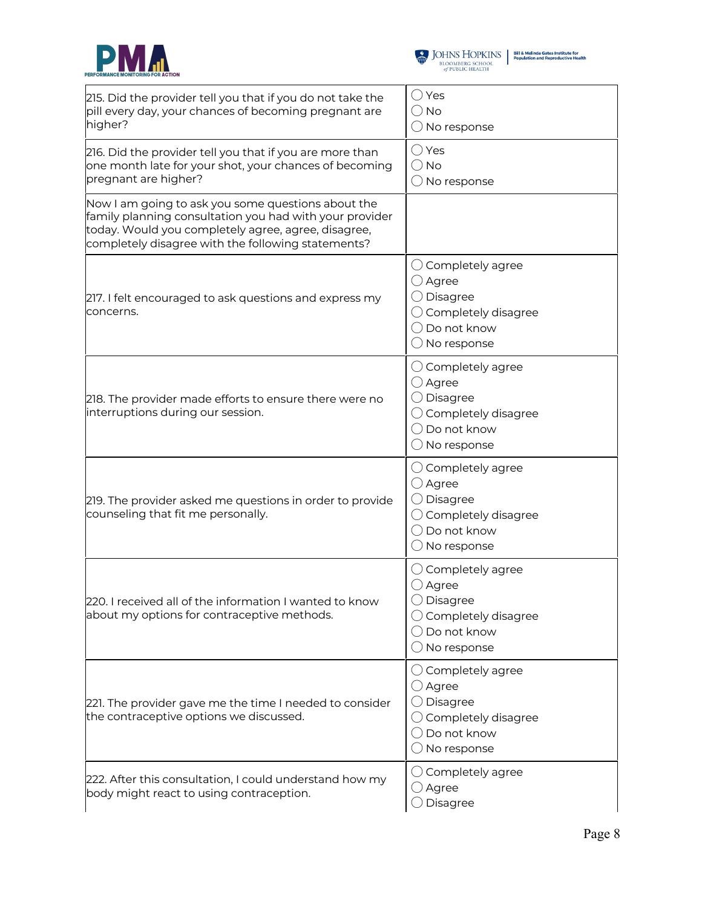



| 215. Did the provider tell you that if you do not take the<br>pill every day, your chances of becoming pregnant are<br>higher?                                                                                             | $\bigcirc$ Yes<br>$\bigcirc$ No<br>$\bigcirc$ No response                                                                                           |
|----------------------------------------------------------------------------------------------------------------------------------------------------------------------------------------------------------------------------|-----------------------------------------------------------------------------------------------------------------------------------------------------|
| 216. Did the provider tell you that if you are more than<br>one month late for your shot, your chances of becoming<br>pregnant are higher?                                                                                 | $\bigcirc$ Yes<br>$\bigcirc$ No<br>$\bigcirc$ No response                                                                                           |
| Now I am going to ask you some questions about the<br>family planning consultation you had with your provider<br>today. Would you completely agree, agree, disagree,<br>completely disagree with the following statements? |                                                                                                                                                     |
| 217. I felt encouraged to ask questions and express my<br>concerns.                                                                                                                                                        | $\bigcirc$ Completely agree<br>$\bigcirc$ Agree<br>$\bigcirc$ Disagree<br>$\bigcirc$ Completely disagree<br>◯ Do not know<br>$\bigcirc$ No response |
| 218. The provider made efforts to ensure there were no<br>interruptions during our session.                                                                                                                                | $\bigcirc$ Completely agree<br>○ Agree<br>$\bigcirc$ Disagree<br>$\bigcirc$ Completely disagree<br>◯ Do not know<br>$\bigcirc$ No response          |
| 219. The provider asked me questions in order to provide<br>counseling that fit me personally.                                                                                                                             | $\bigcirc$ Completely agree<br>$\bigcirc$ Agree<br>◯ Disagree<br>$\bigcirc$ Completely disagree<br>$\bigcirc$ Do not know<br>$\bigcirc$ No response |
| 220. I received all of the information I wanted to know<br>about my options for contraceptive methods.                                                                                                                     | $\bigcirc$ Completely agree<br>$\bigcirc$ Agree<br>◯ Disagree<br>$\bigcirc$ Completely disagree<br>$\bigcirc$ Do not know<br>$\bigcirc$ No response |
| 221. The provider gave me the time I needed to consider<br>the contraceptive options we discussed.                                                                                                                         | $\bigcirc$ Completely agree<br>$\bigcirc$ Agree<br>$\bigcirc$ Disagree<br>$\bigcirc$ Completely disagree<br>◯ Do not know<br>$\bigcirc$ No response |
| 222. After this consultation, I could understand how my<br>body might react to using contraception.                                                                                                                        | $\bigcirc$ Completely agree<br>$\bigcirc$ Agree<br>$\bigcirc$ Disagree                                                                              |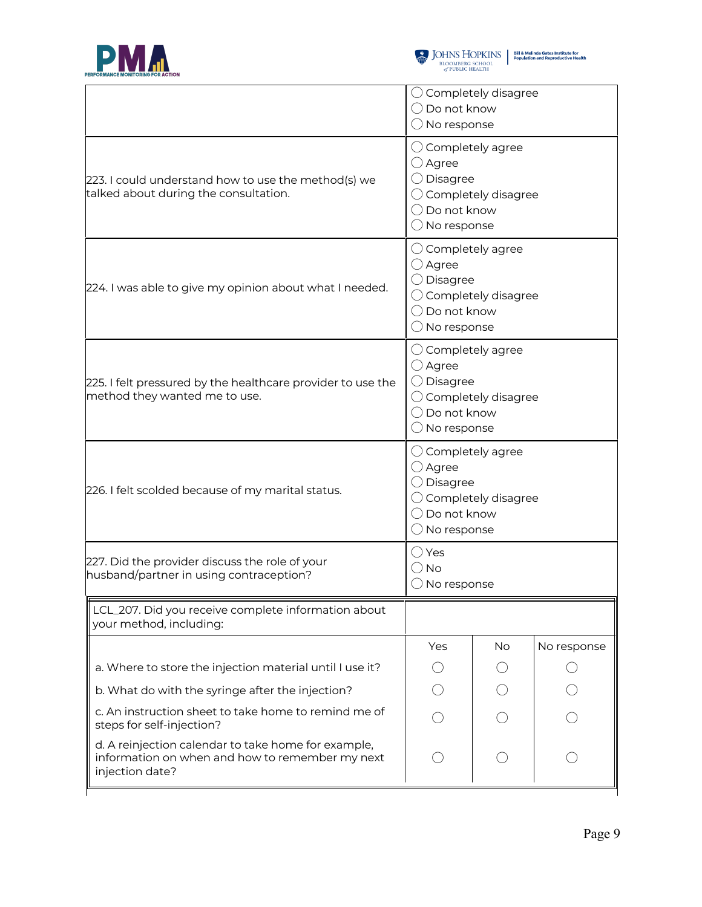



|                                                                                                                           | $\bigcirc$ Completely disagree<br>$\bigcirc$ Do not know<br>$\bigcirc$ No response                                                                           |    |             |  |
|---------------------------------------------------------------------------------------------------------------------------|--------------------------------------------------------------------------------------------------------------------------------------------------------------|----|-------------|--|
| 223. I could understand how to use the method(s) we<br>talked about during the consultation.                              | $\bigcirc$ Completely agree<br>$\bigcirc$ Agree<br>$\bigcirc$ Disagree<br>$\bigcirc$ Completely disagree<br>$\bigcirc$ Do not know<br>$\bigcirc$ No response |    |             |  |
| 224. I was able to give my opinion about what I needed.                                                                   | $\bigcirc$ Completely agree<br>$\bigcirc$ Agree<br>$\bigcirc$ Disagree<br>$\bigcirc$ Completely disagree<br>$\bigcirc$ Do not know<br>$\bigcirc$ No response |    |             |  |
| 225. I felt pressured by the healthcare provider to use the<br>method they wanted me to use.                              | $\bigcirc$ Completely agree<br>$\bigcirc$ Agree<br>$\bigcirc$ Disagree<br>$\bigcirc$ Completely disagree<br>$\bigcirc$ Do not know<br>$\bigcirc$ No response |    |             |  |
| 226. I felt scolded because of my marital status.                                                                         | $\bigcirc$ Completely agree<br>$\bigcirc$ Agree<br>$\bigcirc$ Disagree<br>$\bigcirc$ Completely disagree<br>$\bigcirc$ Do not know<br>$\bigcirc$ No response |    |             |  |
| 227. Did the provider discuss the role of your<br>husband/partner in using contraception?                                 | $\bigcirc$ Yes<br>$\bigcirc$ No<br>$\bigcirc$ No response                                                                                                    |    |             |  |
| LCL_207. Did you receive complete information about<br>your method, including:                                            |                                                                                                                                                              |    |             |  |
|                                                                                                                           | Yes                                                                                                                                                          | No | No response |  |
| a. Where to store the injection material until I use it?                                                                  |                                                                                                                                                              |    |             |  |
| b. What do with the syringe after the injection?                                                                          |                                                                                                                                                              |    |             |  |
| c. An instruction sheet to take home to remind me of<br>steps for self-injection?                                         |                                                                                                                                                              |    |             |  |
| d. A reinjection calendar to take home for example,<br>information on when and how to remember my next<br>injection date? |                                                                                                                                                              |    |             |  |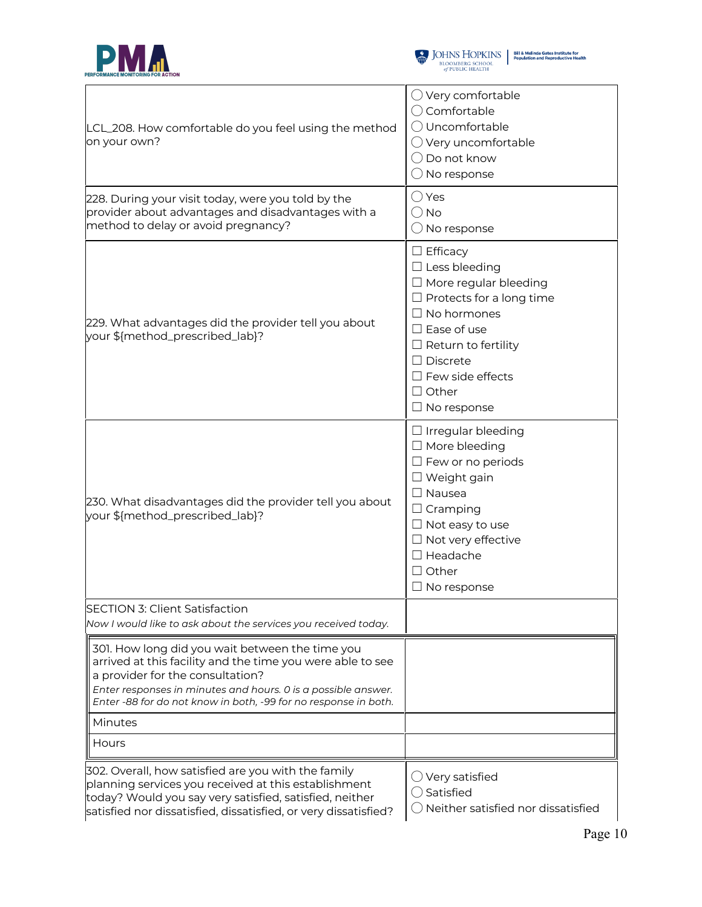



| LCL_208. How comfortable do you feel using the method<br>on your own?                                                                                                                                                                                                                 | $\bigcirc$ Very comfortable<br>○ Comfortable<br>O Uncomfortable<br>$\bigcirc$ Very uncomfortable<br>$\bigcirc$ Do not know<br>$\bigcirc$ No response                                                                                                                        |
|---------------------------------------------------------------------------------------------------------------------------------------------------------------------------------------------------------------------------------------------------------------------------------------|-----------------------------------------------------------------------------------------------------------------------------------------------------------------------------------------------------------------------------------------------------------------------------|
| 228. During your visit today, were you told by the<br>provider about advantages and disadvantages with a<br>method to delay or avoid pregnancy?                                                                                                                                       | $\bigcirc$ Yes<br>() No<br>$\bigcirc$ No response                                                                                                                                                                                                                           |
| 229. What advantages did the provider tell you about<br>your \${method_prescribed_lab}?                                                                                                                                                                                               | $\Box$ Efficacy<br>$\Box$ Less bleeding<br>$\Box$ More regular bleeding<br>$\Box$ Protects for a long time<br>$\Box$ No hormones<br>$\square$ Ease of use<br>$\Box$ Return to fertility<br>$\Box$ Discrete<br>$\Box$ Few side effects<br>$\Box$ Other<br>$\Box$ No response |
| 230. What disadvantages did the provider tell you about<br>your \${method_prescribed_lab}?                                                                                                                                                                                            | $\Box$ Irregular bleeding<br>$\Box$ More bleeding<br>$\Box$ Few or no periods<br>$\Box$ Weight gain<br>$\Box$ Nausea<br>$\Box$ Cramping<br>$\Box$ Not easy to use<br>$\Box$ Not very effective<br>$\Box$ Headache<br>$\Box$ Other<br>$\Box$ No response                     |
| <b>SECTION 3: Client Satisfaction</b><br>Now I would like to ask about the services you received today.                                                                                                                                                                               |                                                                                                                                                                                                                                                                             |
| 301. How long did you wait between the time you<br>arrived at this facility and the time you were able to see<br>a provider for the consultation?<br>Enter responses in minutes and hours. 0 is a possible answer.<br>Enter -88 for do not know in both, -99 for no response in both. |                                                                                                                                                                                                                                                                             |
| Minutes                                                                                                                                                                                                                                                                               |                                                                                                                                                                                                                                                                             |
| Hours                                                                                                                                                                                                                                                                                 |                                                                                                                                                                                                                                                                             |
| 302. Overall, how satisfied are you with the family<br>planning services you received at this establishment<br>today? Would you say very satisfied, satisfied, neither<br>satisfied nor dissatisfied, dissatisfied, or very dissatisfied?                                             | $\bigcirc$ Very satisfied<br>$\bigcirc$ Satisfied<br>Neither satisfied nor dissatisfied                                                                                                                                                                                     |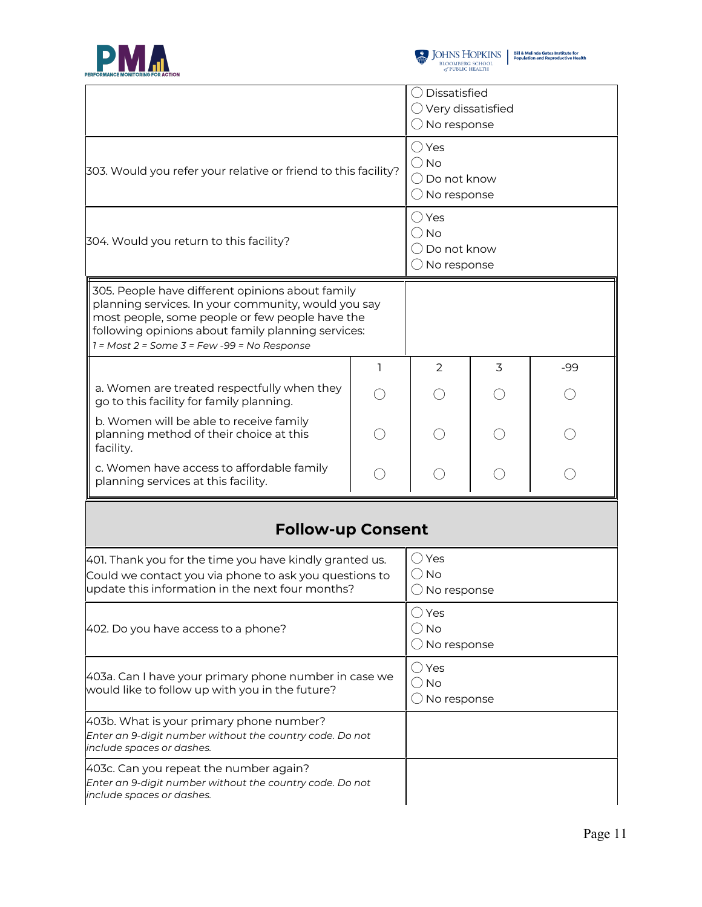



|                                                                                                                                                                                                                                                                                                      |   | $\bigcirc$ Dissatisfied                                                             |                 |     |
|------------------------------------------------------------------------------------------------------------------------------------------------------------------------------------------------------------------------------------------------------------------------------------------------------|---|-------------------------------------------------------------------------------------|-----------------|-----|
|                                                                                                                                                                                                                                                                                                      |   | $\bigcirc$ Very dissatisfied<br>$\bigcirc$ No response                              |                 |     |
| 303. Would you refer your relative or friend to this facility?                                                                                                                                                                                                                                       |   | $\bigcirc$ Yes<br>$\bigcirc$ No<br>$\bigcirc$ Do not know<br>$\bigcirc$ No response |                 |     |
| 304. Would you return to this facility?                                                                                                                                                                                                                                                              |   | $\bigcirc$ Yes<br>$\bigcirc$ No<br>$\bigcirc$ Do not know<br>$\bigcirc$ No response |                 |     |
| ∥305. People have different opinions about family<br>planning services. In your community, would you say<br>$\parallel$ most people, some people or few people have the<br>$\parallel$ following opinions about family planning services:<br>$\parallel$ 1 = Most 2 = Some 3 = Few -99 = No Response |   |                                                                                     |                 |     |
|                                                                                                                                                                                                                                                                                                      | ı | 2                                                                                   | 3               | -99 |
| a. Women are treated respectfully when they<br>go to this facility for family planning.                                                                                                                                                                                                              |   |                                                                                     |                 |     |
| b. Women will be able to receive family<br>planning method of their choice at this<br>facility.                                                                                                                                                                                                      |   |                                                                                     |                 |     |
| c. Women have access to affordable family<br>planning services at this facility.                                                                                                                                                                                                                     |   |                                                                                     | $(\phantom{a})$ |     |
| <b>Follow-up Consent</b>                                                                                                                                                                                                                                                                             |   |                                                                                     |                 |     |
| 401. Thank you for the time you have kindly granted us.<br>Could we contact you via phone to ask you questions to<br>update this information in the next four months?                                                                                                                                |   | $\bigcirc$ Yes<br>$\bigcirc$ No<br>$\bigcirc$ No response                           |                 |     |
| 402. Do you have access to a phone?                                                                                                                                                                                                                                                                  |   | $\bigcirc$ Yes<br>$\bigcirc$ No<br>$\bigcirc$ No response                           |                 |     |
| 403a. Can I have your primary phone number in case we<br>would like to follow up with you in the future?                                                                                                                                                                                             |   | $\bigcirc$ Yes<br>$\bigcirc$ No<br>$\bigcirc$ No response                           |                 |     |
| 403b. What is your primary phone number?<br>Enter an 9-digit number without the country code. Do not<br>include spaces or dashes.                                                                                                                                                                    |   |                                                                                     |                 |     |
| 403c. Can you repeat the number again?<br>Enter an 9-digit number without the country code. Do not<br>include spaces or dashes.                                                                                                                                                                      |   |                                                                                     |                 |     |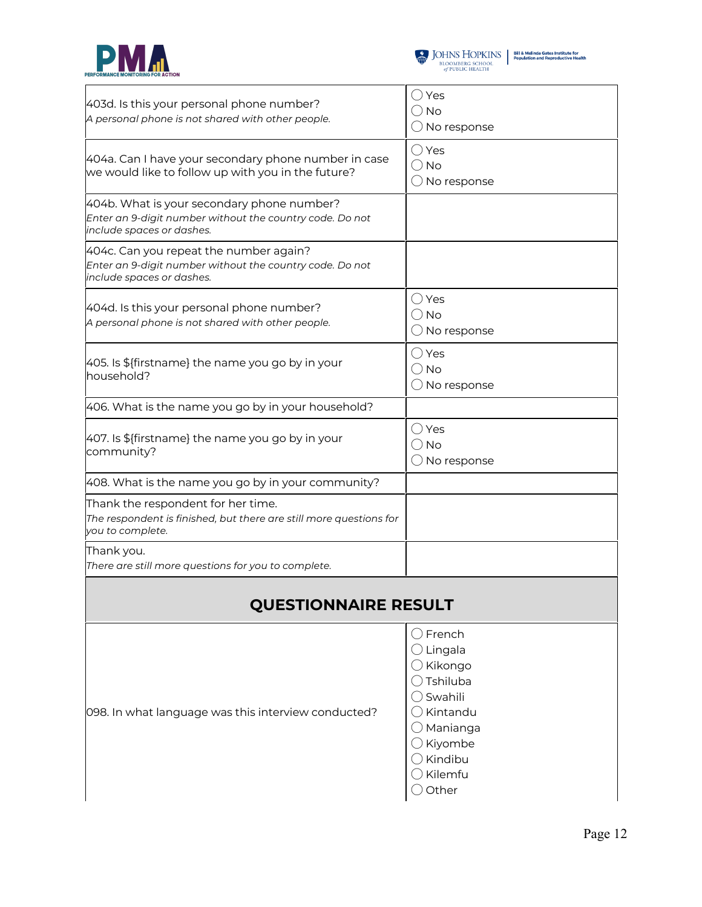



|                                                                                                                              | ◯ Yes                                     |  |
|------------------------------------------------------------------------------------------------------------------------------|-------------------------------------------|--|
| 403d. Is this your personal phone number?<br>A personal phone is not shared with other people.                               | () No                                     |  |
|                                                                                                                              | $\bigcirc$ No response                    |  |
| 404a. Can I have your secondary phone number in case                                                                         | ◯ Yes<br>$\bigcirc$ No                    |  |
| we would like to follow up with you in the future?                                                                           | $\bigcirc$ No response                    |  |
| 404b. What is your secondary phone number?                                                                                   |                                           |  |
| Enter an 9-digit number without the country code. Do not<br>include spaces or dashes.                                        |                                           |  |
| 404c. Can you repeat the number again?                                                                                       |                                           |  |
| Enter an 9-digit number without the country code. Do not<br>include spaces or dashes.                                        |                                           |  |
| 404d. Is this your personal phone number?                                                                                    | ◯ Yes                                     |  |
| A personal phone is not shared with other people.                                                                            | ( ) No<br>$\bigcirc$ No response          |  |
|                                                                                                                              | $\bigcirc$ Yes                            |  |
| 405. Is \${firstname} the name you go by in your                                                                             | $\bigcirc$ No                             |  |
| household?                                                                                                                   | $\bigcirc$ No response                    |  |
| 406. What is the name you go by in your household?                                                                           |                                           |  |
| 407. Is \${firstname} the name you go by in your                                                                             | ◯ Yes                                     |  |
| community?                                                                                                                   | ( ) No<br>$\bigcirc$ No response          |  |
| 408. What is the name you go by in your community?                                                                           |                                           |  |
|                                                                                                                              |                                           |  |
| Thank the respondent for her time.<br>The respondent is finished, but there are still more questions for<br>you to complete. |                                           |  |
| Thank you.                                                                                                                   |                                           |  |
| There are still more questions for you to complete.                                                                          |                                           |  |
| <b>QUESTIONNAIRE RESULT</b>                                                                                                  |                                           |  |
|                                                                                                                              | $\bigcirc$ French                         |  |
|                                                                                                                              | $\bigcirc$ Lingala                        |  |
|                                                                                                                              | $\bigcirc$ Kikongo<br>$\bigcirc$ Tshiluba |  |
|                                                                                                                              | $\bigcirc$ Swahili                        |  |
| 098. In what language was this interview conducted?                                                                          | $\bigcirc$ Kintandu                       |  |
|                                                                                                                              | $\bigcirc$ Manianga                       |  |
|                                                                                                                              | $\bigcirc$ Kiyombe<br>$\bigcirc$ Kindibu  |  |
|                                                                                                                              | $\bigcirc$ Kilemfu                        |  |
|                                                                                                                              | $\bigcirc$ Other                          |  |